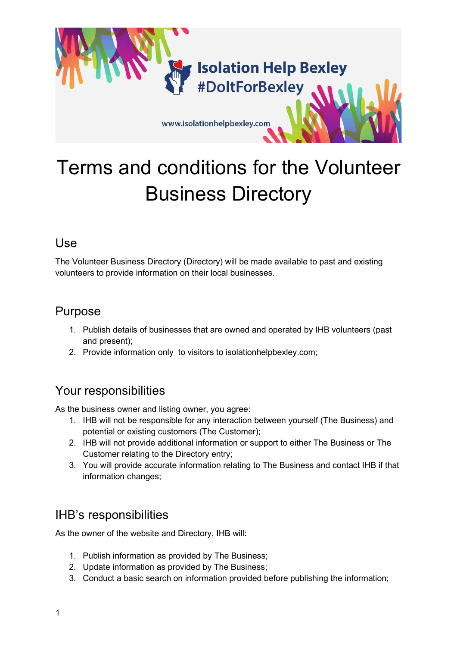## **Isolation Help Bexley** #DoltForBexley

www.isolationhelpbexley.com

# Terms and conditions for the Volunteer Business Directory

#### Use

The Volunteer Business Directory (Directory) will be made available to past and existing volunteers to provide information on their local businesses.

#### Purpose

- 1. Publish details of businesses that are owned and operated by IHB volunteers (past and present);
- 2. Provide information only to visitors to isolationhelpbexley.com;

### Your responsibilities

As the business owner and listing owner, you agree:

- 1. IHB will not be responsible for any interaction between yourself (The Business) and potential or existing customers (The Customer);
- 2. IHB will not provide additional information or support to either The Business or The Customer relating to the Directory entry;
- 3. You will provide accurate information relating to The Business and contact IHB if that information changes;

### IHB's responsibilities

As the owner of the website and Directory, IHB will:

- 1. Publish information as provided by The Business;
- 2. Update information as provided by The Business;
- 3. Conduct a basic search on information provided before publishing the information;